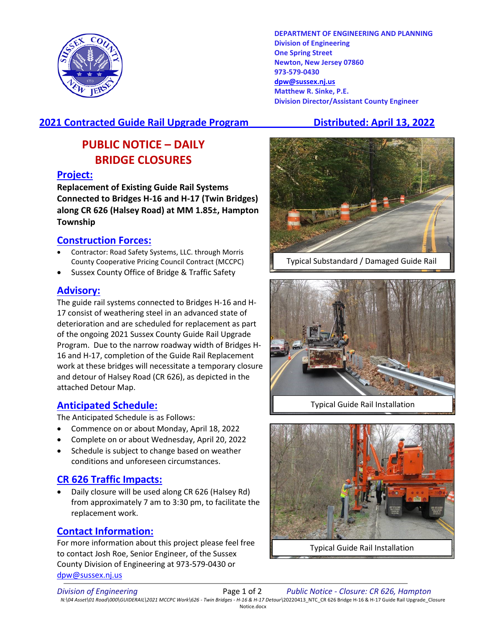

**DEPARTMENT OF ENGINEERING AND PLANNING Division of Engineering One Spring Street Newton, New Jersey 07860 973-579-0430 [dpw@sussex.nj.us](mailto:dpw@sussex.nj.us) Matthew R. Sinke, P.E. Division Director/Assistant County Engineer**

# **2021 Contracted Guide Rail Upgrade Program Distributed: April 13, 2022**

# **PUBLIC NOTICE – DAILY BRIDGE CLOSURES**

#### **Project:**

**Replacement of Existing Guide Rail Systems Connected to Bridges H-16 and H-17 (Twin Bridges) along CR 626 (Halsey Road) at MM 1.85±, Hampton Township**

### **Construction Forces:**

- Contractor: Road Safety Systems, LLC. through Morris County Cooperative Pricing Council Contract (MCCPC)
- Sussex County Office of Bridge & Traffic Safety

#### **Advisory:**

The guide rail systems connected to Bridges H-16 and H-17 consist of weathering steel in an advanced state of deterioration and are scheduled for replacement as part of the ongoing 2021 Sussex County Guide Rail Upgrade Program. Due to the narrow roadway width of Bridges H-16 and H-17, completion of the Guide Rail Replacement work at these bridges will necessitate a temporary closure and detour of Halsey Road (CR 626), as depicted in the attached Detour Map.

# **Anticipated Schedule:**

The Anticipated Schedule is as Follows:

- Commence on or about Monday, April 18, 2022
- Complete on or about Wednesday, April 20, 2022
- Schedule is subject to change based on weather conditions and unforeseen circumstances.

# **CR 626 Traffic Impacts:**

• Daily closure will be used along CR 626 (Halsey Rd) from approximately 7 am to 3:30 pm, to facilitate the replacement work.

# **Contact Information:**

For more information about this project please feel free to contact Josh Roe, Senior Engineer, of the Sussex County Division of Engineering at 973-579-0430 or [dpw@sussex.nj.us](mailto:dpw@sussex.nj.us)



Typical Substandard / Damaged Guide Rail



Typical Guide Rail Installation



Typical Guide Rail Installation